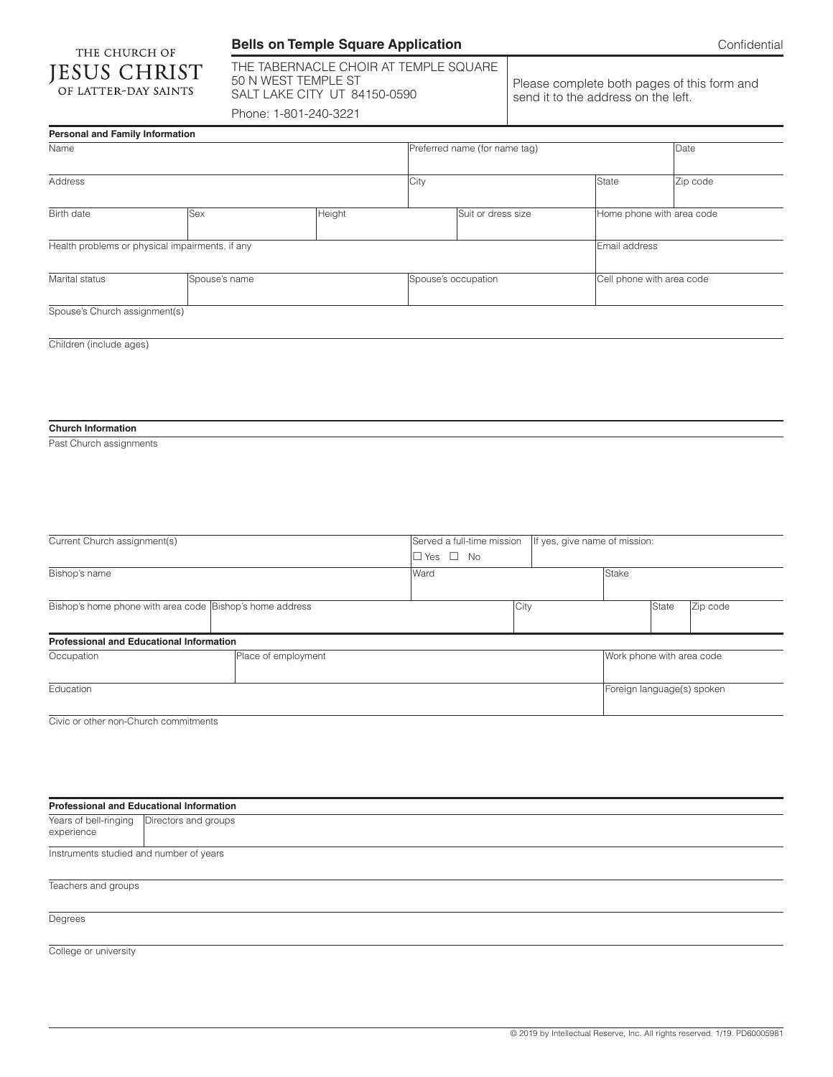## **Bells on Temple Square Application**

| THE CHURCH OF |                      |  |
|---------------|----------------------|--|
|               | <b>JESUS CHRIST</b>  |  |
|               | OF LATTER-DAY SAINTS |  |

THE TABERNACLE CHOIR AT TEMPLE SQUARE 50 N WEST TEMPLE ST SALT LAKE CITY UT 84150-0590 Phone: 1-801-240-3221

Please complete both pages of this form and send it to the address on the left.

| Personal and Family Information                          |               |                               |                      |                            |                               |                           |          |
|----------------------------------------------------------|---------------|-------------------------------|----------------------|----------------------------|-------------------------------|---------------------------|----------|
| Name                                                     |               | Preferred name (for name tag) |                      |                            |                               | Date                      |          |
| Address                                                  |               |                               | City                 |                            |                               | <b>State</b>              | Zip code |
| Birth date                                               | <b>Sex</b>    | Height                        |                      | Suit or dress size         |                               | Home phone with area code |          |
| Health problems or physical impairments, if any          |               |                               |                      |                            |                               | Email address             |          |
| Marital status                                           | Spouse's name |                               |                      | Spouse's occupation        |                               | Cell phone with area code |          |
| Spouse's Church assignment(s)                            |               |                               |                      |                            |                               |                           |          |
| Children (include ages)                                  |               |                               |                      |                            |                               |                           |          |
|                                                          |               |                               |                      |                            |                               |                           |          |
|                                                          |               |                               |                      |                            |                               |                           |          |
|                                                          |               |                               |                      |                            |                               |                           |          |
|                                                          |               |                               |                      |                            |                               |                           |          |
| <b>Church Information</b>                                |               |                               |                      |                            |                               |                           |          |
| Past Church assignments                                  |               |                               |                      |                            |                               |                           |          |
|                                                          |               |                               |                      |                            |                               |                           |          |
|                                                          |               |                               |                      |                            |                               |                           |          |
|                                                          |               |                               |                      |                            |                               |                           |          |
|                                                          |               |                               |                      |                            |                               |                           |          |
| Current Church assignment(s)                             |               |                               |                      | Served a full-time mission | If yes, give name of mission: |                           |          |
|                                                          |               |                               | $\Box$ Yes $\Box$ No |                            |                               |                           |          |
| Bishop's name                                            |               |                               | Ward                 |                            |                               | Stake                     |          |
|                                                          |               |                               |                      |                            |                               |                           |          |
| Bishop's home phone with area code Bishop's home address |               |                               |                      | City                       |                               | State                     | Zip code |
|                                                          |               |                               |                      |                            |                               |                           |          |
| Professional and Educational Information                 |               |                               |                      |                            |                               |                           |          |
| Occupation                                               |               | Place of employment           |                      |                            | Work phone with area code     |                           |          |
| Education                                                |               |                               |                      |                            | Foreign language(s) spoken    |                           |          |
| Civic or other non-Church commitments                    |               |                               |                      |                            |                               |                           |          |

| <b>Professional and Educational Information</b> |                                              |  |  |  |
|-------------------------------------------------|----------------------------------------------|--|--|--|
| experience                                      | Years of bell-ringing   Directors and groups |  |  |  |
| Instruments studied and number of years         |                                              |  |  |  |
| Teachers and groups                             |                                              |  |  |  |
| Degrees                                         |                                              |  |  |  |

College or university